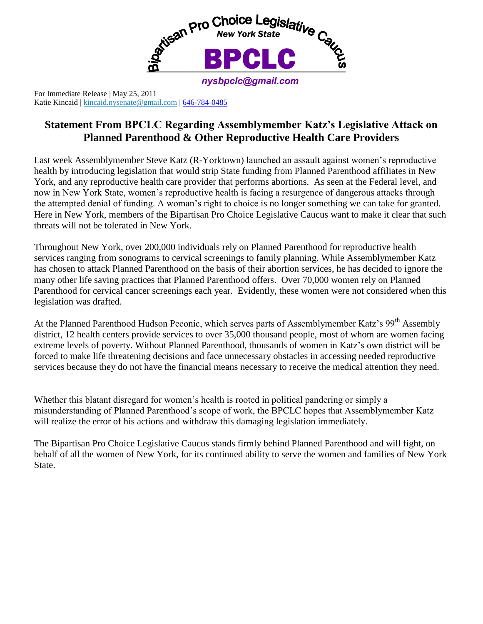

For Immediate Release | May 25, 2011 Katie Kincaid | [kincaid.nysenate@gmail.com](mailto:kincaid.nysenate@gmail.com) [| 646-784-0485](tel:646-784-0485)

## **Statement From BPCLC Regarding Assemblymember Katz's Legislative Attack on Planned Parenthood & Other Reproductive Health Care Providers**

Last week Assemblymember Steve Katz (R-Yorktown) launched an assault against women's reproductive health by introducing legislation that would strip State funding from Planned Parenthood affiliates in New York, and any reproductive health care provider that performs abortions. As seen at the Federal level, and now in New York State, women's reproductive health is facing a resurgence of dangerous attacks through the attempted denial of funding. A woman's right to choice is no longer something we can take for granted. Here in New York, members of the Bipartisan Pro Choice Legislative Caucus want to make it clear that such threats will not be tolerated in New York.

Throughout New York, over 200,000 individuals rely on Planned Parenthood for reproductive health services ranging from sonograms to cervical screenings to family planning. While Assemblymember Katz has chosen to attack Planned Parenthood on the basis of their abortion services, he has decided to ignore the many other life saving practices that Planned Parenthood offers. Over 70,000 women rely on Planned Parenthood for cervical cancer screenings each year. Evidently, these women were not considered when this legislation was drafted.

At the Planned Parenthood Hudson Peconic, which serves parts of Assemblymember Katz's 99<sup>th</sup> Assembly district, 12 health centers provide services to over 35,000 thousand people, most of whom are women facing extreme levels of poverty. Without Planned Parenthood, thousands of women in Katz's own district will be forced to make life threatening decisions and face unnecessary obstacles in accessing needed reproductive services because they do not have the financial means necessary to receive the medical attention they need.

Whether this blatant disregard for women's health is rooted in political pandering or simply a misunderstanding of Planned Parenthood's scope of work, the BPCLC hopes that Assemblymember Katz will realize the error of his actions and withdraw this damaging legislation immediately.

The Bipartisan Pro Choice Legislative Caucus stands firmly behind Planned Parenthood and will fight, on behalf of all the women of New York, for its continued ability to serve the women and families of New York State.